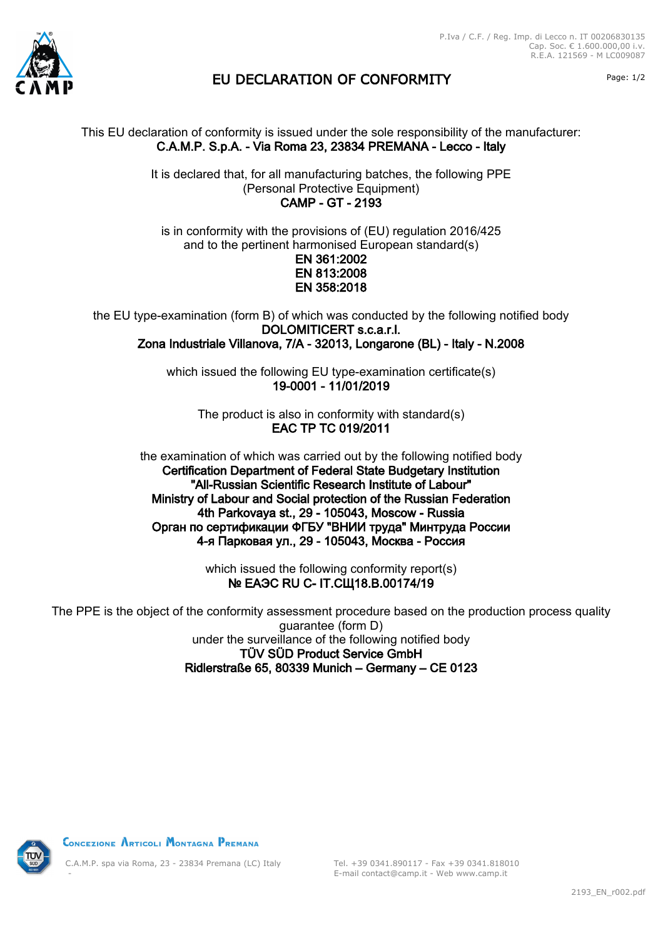



## EU DECLARATION OF CONFORMITY Page: 1/2

## This EU declaration of conformity is issued under the sole responsibility of the manufacturer: C.A.M.P. S.p.A. - Via Roma 23, 23834 PREMANA - Lecco - Italy

It is declared that, for all manufacturing batches, the following PPE (Personal Protective Equipment) CAMP - GT - 2193

is in conformity with the provisions of (EU) regulation 2016/425 and to the pertinent harmonised European standard(s) EN 361:2002 EN 813:2008 EN 358:2018

the EU type-examination (form B) of which was conducted by the following notified body DOLOMITICERT s.c.a.r.l. Zona Industriale Villanova, 7/A - 32013, Longarone (BL) - Italy - N.2008

> which issued the following EU type-examination certificate(s) 19-0001 - 11/01/2019

The product is also in conformity with standard(s) EAC TP TC 019/2011

the examination of which was carried out by the following notified body Certification Department of Federal State Budgetary Institution "All-Russian Scientific Research Institute of Labour" Ministry of Labour and Social protection of the Russian Federation 4th Parkovaya st., 29 - 105043, Moscow - Russia Орган по сертификации ФГБУ "ВНИИ труда" Минтруда России 4-я Парковая ул., 29 - 105043, Москва - Россия

> which issued the following conformity report(s) **№ ЕАЭС RU С- IT.СЩ18.В.00174/19**

The PPE is the object of the conformity assessment procedure based on the production process quality guarantee (form D) under the surveillance of the following notified body TÜV SÜD Product Service GmbH Ridlerstraße 65, 80339 Munich – Germany – CE 0123



CONCEZIONE ARTICOLI MONTAGNA PREMANA

C.A.M.P. spa via Roma, 23 - 23834 Premana (LC) Italy -